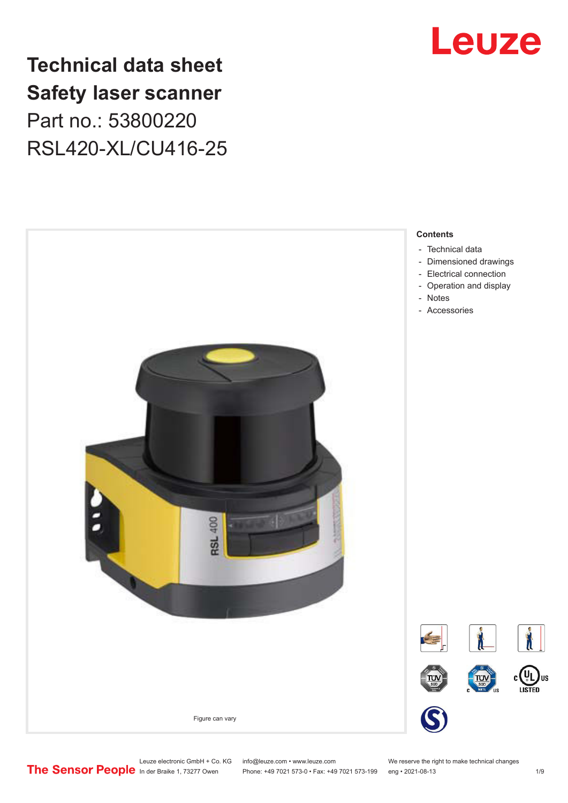

**Technical data sheet Safety laser scanner** Part no.: 53800220 RSL420-XL/CU416-25



Leuze electronic GmbH + Co. KG info@leuze.com • www.leuze.com We reserve the right to make technical changes<br>
The Sensor People in der Braike 1, 73277 Owen Phone: +49 7021 573-0 • Fax: +49 7021 573-199 eng • 2021-08-13

Phone: +49 7021 573-0 • Fax: +49 7021 573-199 eng • 2021-08-13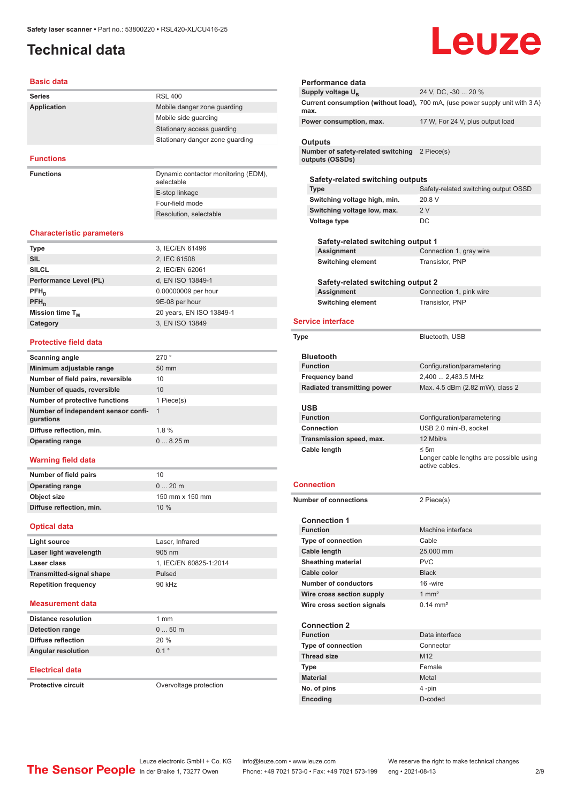### <span id="page-1-0"></span>**Technical data**

# Leuze

#### **Basic data**

| <b>Series</b>      | <b>RSL 400</b>                                    |
|--------------------|---------------------------------------------------|
| <b>Application</b> | Mobile danger zone guarding                       |
|                    | Mobile side quarding                              |
|                    | Stationary access guarding                        |
|                    | Stationary danger zone guarding                   |
|                    |                                                   |
| <b>Functions</b>   |                                                   |
| <b>Functions</b>   | Dynamic contactor monitoring (EDM),<br>selectable |

E-stop linkage Four-field mode Resolution, selectable

#### **Characteristic parameters**

| <b>Type</b>            | 3, IEC/EN 61496          |
|------------------------|--------------------------|
| <b>SIL</b>             | 2, IEC 61508             |
| <b>SILCL</b>           | 2, IEC/EN 62061          |
| Performance Level (PL) | d, EN ISO 13849-1        |
| $PFH_{n}$              | 0.00000009 per hour      |
| $PFH_{n}$              | 9E-08 per hour           |
| Mission time $T_M$     | 20 years, EN ISO 13849-1 |
| Category               | 3, EN ISO 13849          |
|                        |                          |

#### **Protective field data**

| Scanning angle                                   | 270°            |
|--------------------------------------------------|-----------------|
| Minimum adjustable range                         | $50 \text{ mm}$ |
| Number of field pairs, reversible                | 10              |
| Number of quads, reversible                      | 10              |
| Number of protective functions                   | 1 Piece(s)      |
| Number of independent sensor confi-<br>gurations | $\overline{1}$  |
| Diffuse reflection, min.                         | 1.8%            |
| <b>Operating range</b>                           | 08.25m          |
|                                                  |                 |

#### **Warning field data**

| Number of field pairs    | 10              |
|--------------------------|-----------------|
| <b>Operating range</b>   | $020$ m         |
| Object size              | 150 mm x 150 mm |
| Diffuse reflection, min. | 10%             |
|                          |                 |

#### **Optical data**

| Light source                    | Laser, Infrared        |
|---------------------------------|------------------------|
| Laser light wavelength          | $905 \text{ nm}$       |
| Laser class                     | 1. IEC/EN 60825-1:2014 |
| <b>Transmitted-signal shape</b> | Pulsed                 |
| <b>Repetition frequency</b>     | 90 kHz                 |

#### **Measurement data**

| <b>Distance resolution</b> | $1 \text{ mm}$ |
|----------------------------|----------------|
| Detection range            | $050$ m        |
| Diffuse reflection         | 20 %           |
| <b>Angular resolution</b>  | 01°            |

#### **Electrical data**

**Protective circuit COVER COVERVALUATE:** Overvoltage protection

| 24 V, DC, -30  20 %<br>Supply voltage U <sub>B</sub>                                   |  |
|----------------------------------------------------------------------------------------|--|
|                                                                                        |  |
| Current consumption (without load), 700 mA, (use power supply unit with 3 A)<br>max.   |  |
| 17 W, For 24 V, plus output load<br>Power consumption, max.                            |  |
| Outputs                                                                                |  |
| Number of safety-related switching 2 Piece(s)<br>outputs (OSSDs)                       |  |
| Safety-related switching outputs                                                       |  |
| Safety-related switching output OSSD<br><b>Type</b>                                    |  |
| 20.8 V                                                                                 |  |
| Switching voltage high, min.<br>2V                                                     |  |
| Switching voltage low, max.                                                            |  |
| DC<br>Voltage type                                                                     |  |
| Safety-related switching output 1                                                      |  |
| Assignment<br>Connection 1, gray wire                                                  |  |
| <b>Switching element</b><br>Transistor, PNP                                            |  |
|                                                                                        |  |
| Safety-related switching output 2                                                      |  |
| Assignment<br>Connection 1, pink wire                                                  |  |
| <b>Switching element</b><br>Transistor, PNP                                            |  |
|                                                                                        |  |
|                                                                                        |  |
| <b>Service interface</b>                                                               |  |
| Bluetooth, USB<br>Type                                                                 |  |
|                                                                                        |  |
| <b>Bluetooth</b>                                                                       |  |
| <b>Function</b><br>Configuration/parametering                                          |  |
| 2,400  2,483.5 MHz<br><b>Frequency band</b>                                            |  |
| Max. 4.5 dBm (2.82 mW), class 2<br><b>Radiated transmitting power</b>                  |  |
|                                                                                        |  |
| USB                                                                                    |  |
| <b>Function</b><br>Configuration/parametering                                          |  |
| <b>Connection</b><br>USB 2.0 mini-B, socket                                            |  |
| 12 Mbit/s<br>Transmission speed, max.                                                  |  |
| Cable length<br>$\leq$ 5m<br>Longer cable lengths are possible using<br>active cables. |  |
|                                                                                        |  |
| Connection                                                                             |  |
| <b>Number of connections</b><br>2 Piece(s)                                             |  |
| <b>Connection 1</b>                                                                    |  |
| Machine interface<br><b>Function</b>                                                   |  |
| <b>Type of connection</b><br>Cable                                                     |  |
| Cable length<br>25,000 mm                                                              |  |
| <b>Sheathing material</b><br><b>PVC</b>                                                |  |
| Cable color                                                                            |  |
| <b>Black</b>                                                                           |  |
| <b>Number of conductors</b><br>16-wire                                                 |  |
| $1 \text{ mm}^2$<br>Wire cross section supply                                          |  |
| $0.14 \, \text{mm}^2$<br>Wire cross section signals                                    |  |
| <b>Connection 2</b>                                                                    |  |
| <b>Function</b><br>Data interface                                                      |  |
| <b>Type of connection</b><br>Connector                                                 |  |
| <b>Thread size</b><br>M <sub>12</sub>                                                  |  |
| Female                                                                                 |  |
| Type<br><b>Material</b><br>Metal                                                       |  |

**Encoding** D-coded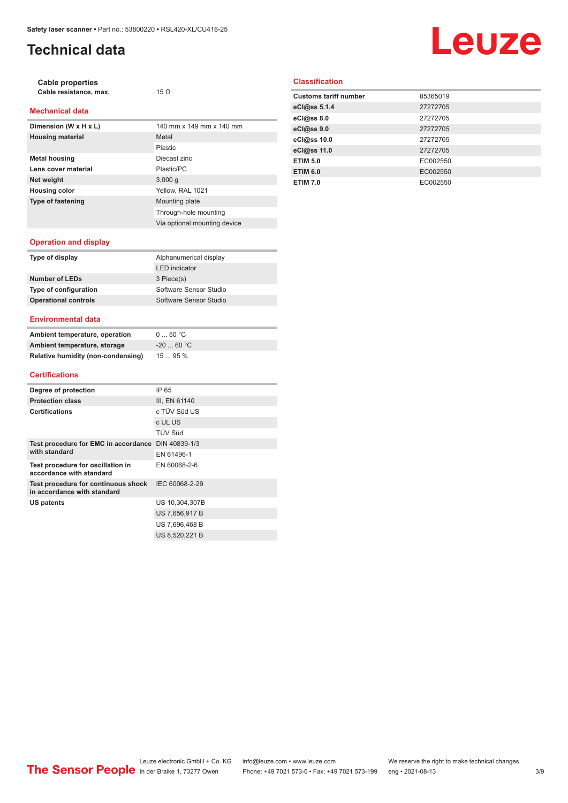### **Technical data**

#### **Cable properties Cable resistance, max.** 15 Ω

#### **Mechanical data**

| Dimension (W x H x L)    | 140 mm x 149 mm x 140 mm     |
|--------------------------|------------------------------|
| <b>Housing material</b>  | Metal                        |
|                          | Plastic                      |
| <b>Metal housing</b>     | Diecast zinc                 |
| Lens cover material      | Plastic/PC                   |
| Net weight               | 3,000q                       |
| <b>Housing color</b>     | Yellow, RAL 1021             |
| <b>Type of fastening</b> | Mounting plate               |
|                          | Through-hole mounting        |
|                          | Via optional mounting device |

### **Classification**

| <b>Customs tariff number</b> | 85365019 |
|------------------------------|----------|
| eCl@ss 5.1.4                 | 27272705 |
| eCl@ss 8.0                   | 27272705 |
| eCl@ss 9.0                   | 27272705 |
| eCl@ss 10.0                  | 27272705 |
| eCl@ss 11.0                  | 27272705 |
| <b>ETIM 5.0</b>              | EC002550 |
| <b>ETIM 6.0</b>              | EC002550 |
| <b>ETIM 7.0</b>              | EC002550 |

Leuze

#### **Operation and display**

| Type of display             | Alphanumerical display |
|-----------------------------|------------------------|
|                             | <b>LED</b> indicator   |
| Number of LEDs              | 3 Piece(s)             |
| Type of configuration       | Software Sensor Studio |
| <b>Operational controls</b> | Software Sensor Studio |
|                             |                        |

#### **Environmental data**

| Ambient temperature, operation     | 050 °C     |
|------------------------------------|------------|
| Ambient temperature, storage       | $-2060 °C$ |
| Relative humidity (non-condensing) | 1595%      |

#### **Certifications**

| Degree of protection                                               | IP 65          |
|--------------------------------------------------------------------|----------------|
| <b>Protection class</b>                                            | III, EN 61140  |
| <b>Certifications</b>                                              | c TÜV Süd US   |
|                                                                    | c UL US        |
|                                                                    | <b>TÜV Süd</b> |
| Test procedure for EMC in accordance DIN 40839-1/3                 |                |
| with standard                                                      | EN 61496-1     |
| Test procedure for oscillation in<br>accordance with standard      | EN 60068-2-6   |
| Test procedure for continuous shock<br>in accordance with standard | IEC 60068-2-29 |
| US patents                                                         | US 10,304,307B |
|                                                                    | US 7.656.917 B |
|                                                                    | US 7,696,468 B |
|                                                                    | US 8.520.221 B |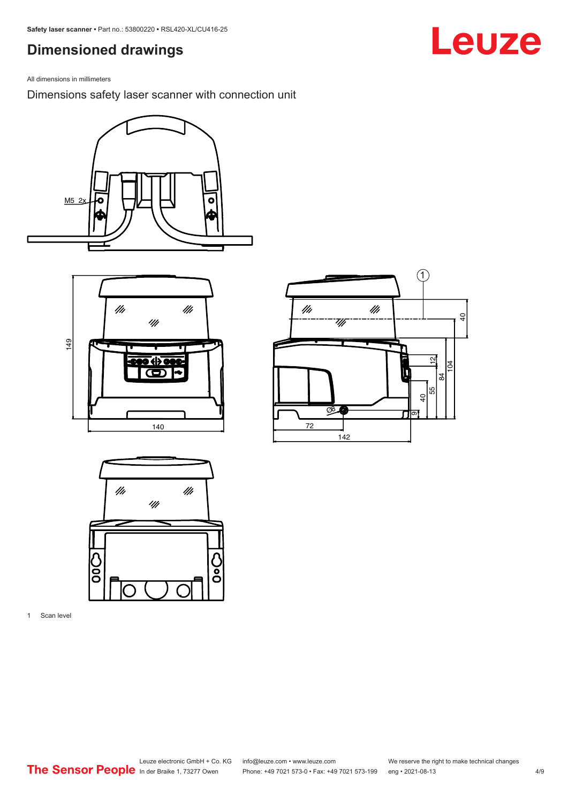### <span id="page-3-0"></span>**Dimensioned drawings**

All dimensions in millimeters

Dimensions safety laser scanner with connection unit









1 Scan level

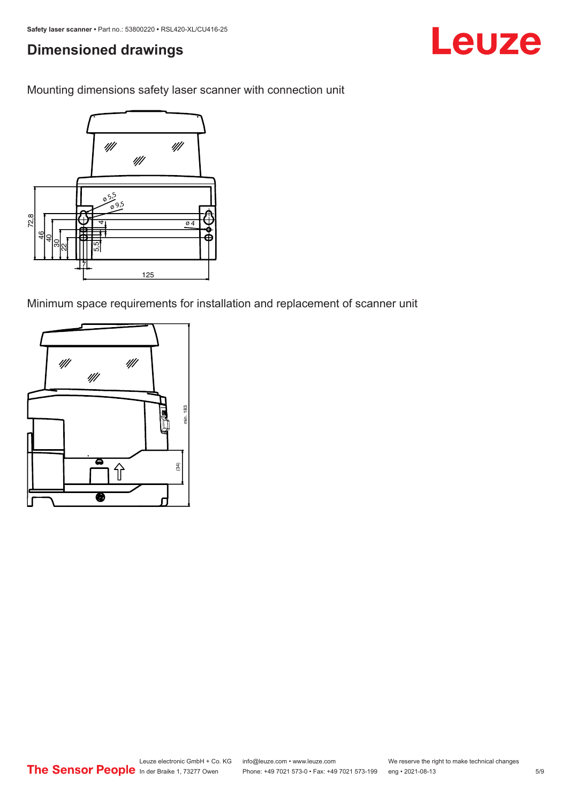### **Dimensioned drawings**

Mounting dimensions safety laser scanner with connection unit



Minimum space requirements for installation and replacement of scanner unit



Leuze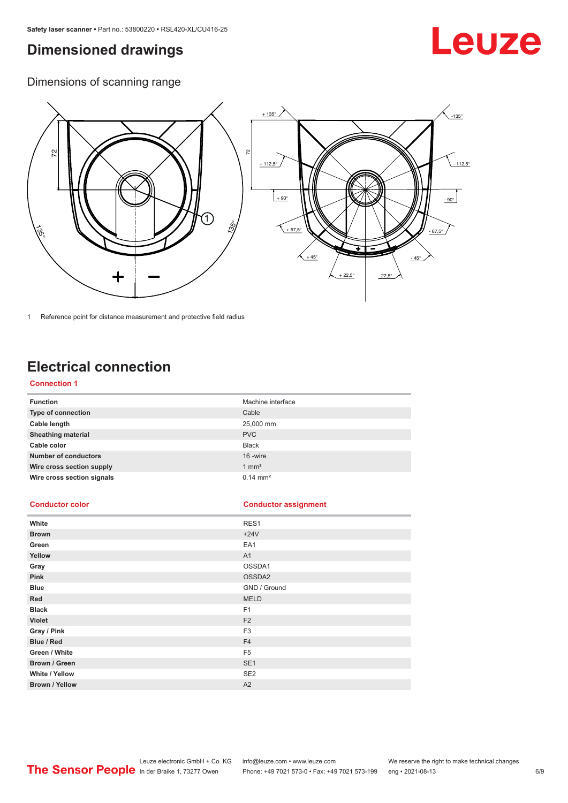### <span id="page-5-0"></span>**Dimensioned drawings**

## Leuze

Dimensions of scanning range



1 Reference point for distance measurement and protective field radius

## **Electrical connection**

### **Connection 1**

| <b>Function</b>             | Machine interface   |
|-----------------------------|---------------------|
| Type of connection          | Cable               |
| Cable length                | 25,000 mm           |
| <b>Sheathing material</b>   | <b>PVC</b>          |
| Cable color                 | <b>Black</b>        |
| <b>Number of conductors</b> | 16 -wire            |
| Wire cross section supply   | $1 \text{ mm}^2$    |
| Wire cross section signals  | $0.14 \text{ mm}^2$ |

#### **Conductor color Conductor assignment**

| RES1            |
|-----------------|
| $+24V$          |
| EA1             |
| A1              |
| OSSDA1          |
| OSSDA2          |
| GND / Ground    |
| <b>MELD</b>     |
| F1              |
| F <sub>2</sub>  |
| F <sub>3</sub>  |
| F <sub>4</sub>  |
| F <sub>5</sub>  |
| SE <sub>1</sub> |
| SE <sub>2</sub> |
| A2              |
|                 |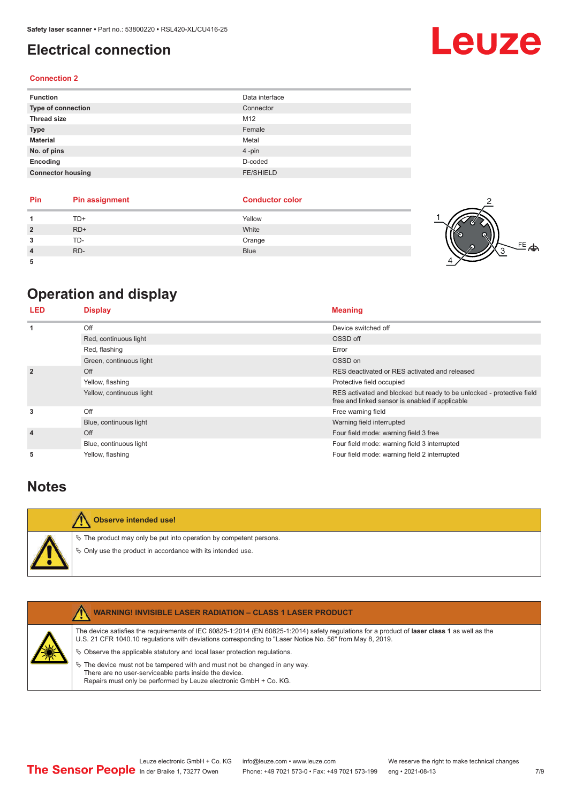### <span id="page-6-0"></span>**Electrical connection**

### **Connection 2**

| <b>Function</b>          | Data interface   |
|--------------------------|------------------|
| Type of connection       | Connector        |
| <b>Thread size</b>       | M12              |
| <b>Type</b>              | Female           |
| <b>Material</b>          | Metal            |
| No. of pins              | $4 - pin$        |
| Encoding                 | D-coded          |
| <b>Connector housing</b> | <b>FE/SHIELD</b> |

| Pin | <b>Pin assignment</b> | <b>Conductor color</b> |  |
|-----|-----------------------|------------------------|--|
|     | TD+                   | Yellow                 |  |
|     | $RD+$                 | White                  |  |
|     | TD-                   | Orange                 |  |
|     | RD-                   | <b>Blue</b>            |  |
|     |                       |                        |  |

### **Operation and display**

| <b>LED</b>     | <b>Display</b>           | <b>Meaning</b>                                                                                                           |
|----------------|--------------------------|--------------------------------------------------------------------------------------------------------------------------|
| 1              | Off                      | Device switched off                                                                                                      |
|                | Red, continuous light    | OSSD off                                                                                                                 |
|                | Red, flashing            | Error                                                                                                                    |
|                | Green, continuous light  | OSSD on                                                                                                                  |
| $\overline{2}$ | Off                      | RES deactivated or RES activated and released                                                                            |
|                | Yellow, flashing         | Protective field occupied                                                                                                |
|                | Yellow, continuous light | RES activated and blocked but ready to be unlocked - protective field<br>free and linked sensor is enabled if applicable |
| 3              | Off                      | Free warning field                                                                                                       |
|                | Blue, continuous light   | Warning field interrupted                                                                                                |
| $\overline{4}$ | Off                      | Four field mode: warning field 3 free                                                                                    |
|                | Blue, continuous light   | Four field mode: warning field 3 interrupted                                                                             |
| 5              | Yellow, flashing         | Four field mode: warning field 2 interrupted                                                                             |

### **Notes**

| Observe intended use!                                                                                                                |
|--------------------------------------------------------------------------------------------------------------------------------------|
| $\%$ The product may only be put into operation by competent persons.<br>§ Only use the product in accordance with its intended use. |

| <b>WARNING! INVISIBLE LASER RADIATION - CLASS 1 LASER PRODUCT</b>                                                                                                                                                                                                                                                                          |
|--------------------------------------------------------------------------------------------------------------------------------------------------------------------------------------------------------------------------------------------------------------------------------------------------------------------------------------------|
| The device satisfies the requirements of IEC 60825-1:2014 (EN 60825-1:2014) safety regulations for a product of laser class 1 as well as the<br>U.S. 21 CFR 1040.10 regulations with deviations corresponding to "Laser Notice No. 56" from May 8, 2019.<br>$\&$ Observe the applicable statutory and local laser protection requisitions. |
| $\%$ The device must not be tampered with and must not be changed in any way.<br>There are no user-serviceable parts inside the device.<br>Repairs must only be performed by Leuze electronic GmbH + Co. KG.                                                                                                                               |
|                                                                                                                                                                                                                                                                                                                                            |



## **Leuze**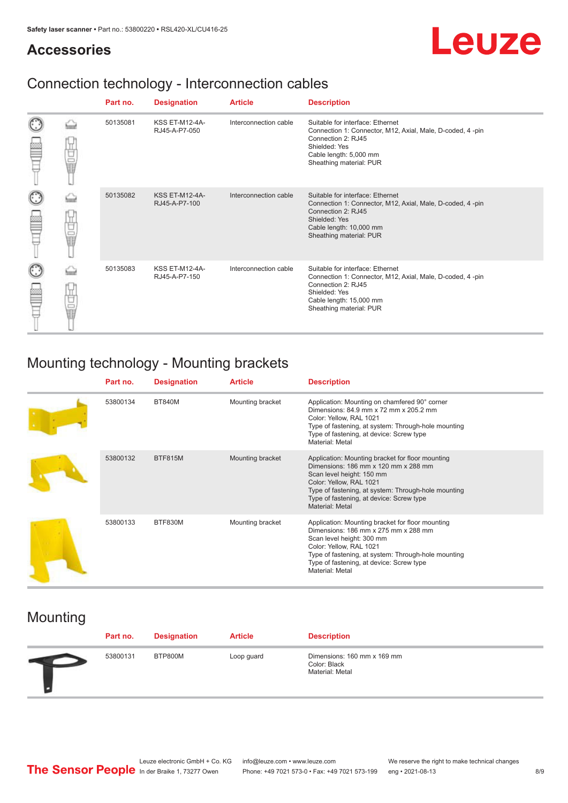### **Accessories**

## Leuze

### Connection technology - Interconnection cables

|   |            | Part no. | <b>Designation</b>                     | <b>Article</b>        | <b>Description</b>                                                                                                                                                                         |
|---|------------|----------|----------------------------------------|-----------------------|--------------------------------------------------------------------------------------------------------------------------------------------------------------------------------------------|
|   | ti<br>Sili | 50135081 | <b>KSS ET-M12-4A-</b><br>RJ45-A-P7-050 | Interconnection cable | Suitable for interface: Ethernet<br>Connection 1: Connector, M12, Axial, Male, D-coded, 4-pin<br>Connection 2: RJ45<br>Shielded: Yes<br>Cable length: 5,000 mm<br>Sheathing material: PUR  |
| C | ti<br>Sili | 50135082 | <b>KSS ET-M12-4A-</b><br>RJ45-A-P7-100 | Interconnection cable | Suitable for interface: Ethernet<br>Connection 1: Connector, M12, Axial, Male, D-coded, 4-pin<br>Connection 2: RJ45<br>Shielded: Yes<br>Cable length: 10,000 mm<br>Sheathing material: PUR |
| C | t          | 50135083 | <b>KSS ET-M12-4A-</b><br>RJ45-A-P7-150 | Interconnection cable | Suitable for interface: Ethernet<br>Connection 1: Connector, M12, Axial, Male, D-coded, 4-pin<br>Connection 2: RJ45<br>Shielded: Yes<br>Cable length: 15,000 mm<br>Sheathing material: PUR |

### Mounting technology - Mounting brackets

| Part no. | <b>Designation</b> | <b>Article</b>   | <b>Description</b>                                                                                                                                                                                                                                                     |
|----------|--------------------|------------------|------------------------------------------------------------------------------------------------------------------------------------------------------------------------------------------------------------------------------------------------------------------------|
| 53800134 | <b>BT840M</b>      | Mounting bracket | Application: Mounting on chamfered 90° corner<br>Dimensions: 84.9 mm x 72 mm x 205.2 mm<br>Color: Yellow, RAL 1021<br>Type of fastening, at system: Through-hole mounting<br>Type of fastening, at device: Screw type<br>Material: Metal                               |
| 53800132 | <b>BTF815M</b>     | Mounting bracket | Application: Mounting bracket for floor mounting<br>Dimensions: 186 mm x 120 mm x 288 mm<br>Scan level height: 150 mm<br>Color: Yellow, RAL 1021<br>Type of fastening, at system: Through-hole mounting<br>Type of fastening, at device: Screw type<br>Material: Metal |
| 53800133 | BTF830M            | Mounting bracket | Application: Mounting bracket for floor mounting<br>Dimensions: 186 mm x 275 mm x 288 mm<br>Scan level height: 300 mm<br>Color: Yellow, RAL 1021<br>Type of fastening, at system: Through-hole mounting<br>Type of fastening, at device: Screw type<br>Material: Metal |

### Mounting

| Part no. | <b>Designation</b> | <b>Article</b> | <b>Description</b>                                             |
|----------|--------------------|----------------|----------------------------------------------------------------|
| 53800131 | BTP800M            | Loop guard     | Dimensions: 160 mm x 169 mm<br>Color: Black<br>Material: Metal |